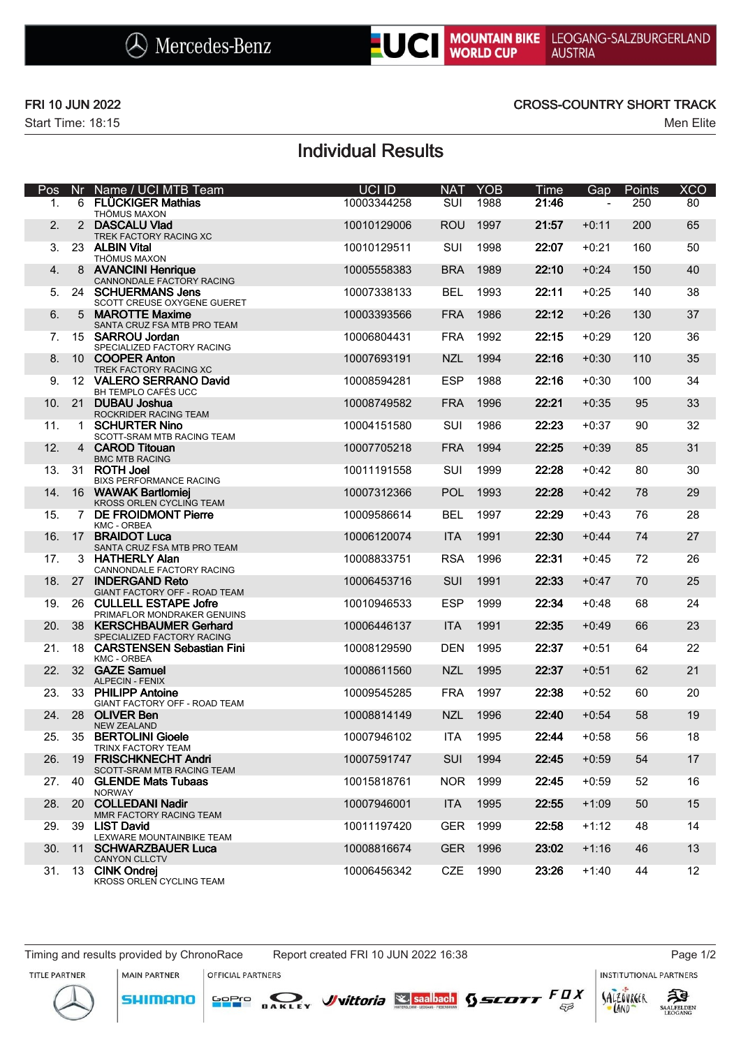

Start Time: 18:15 Men Elite

### FRI 10 JUN 2022 CROSS-COUNTRY SHORT TRACK

# Individual Results

| Pos | <b>Nr</b>       | Name / UCI MTB Team                                        | UCI ID      | <b>NAT</b> | <b>YOB</b> | Time  | Gap     | Points | <b>XCO</b>      |
|-----|-----------------|------------------------------------------------------------|-------------|------------|------------|-------|---------|--------|-----------------|
| 1.  | 6               | <b>FLÜCKIGER Mathias</b><br>THÖMUS MAXON                   | 10003344258 | SUI        | 1988       | 21:46 |         | 250    | 80              |
| 2.  | 2               | <b>DASCALU Vlad</b><br>TREK FACTORY RACING XC              | 10010129006 | <b>ROU</b> | 1997       | 21:57 | $+0:11$ | 200    | 65              |
| 3.  |                 | 23 ALBIN Vital<br><b>THÖMUS MAXON</b>                      | 10010129511 | <b>SUI</b> | 1998       | 22:07 | $+0:21$ | 160    | 50              |
| 4.  | 8               | <b>AVANCINI Henrique</b><br>CANNONDALE FACTORY RACING      | 10005558383 | <b>BRA</b> | 1989       | 22:10 | $+0:24$ | 150    | 40              |
| 5.  |                 | 24 SCHUERMANS Jens<br>SCOTT CREUSE OXYGENE GUERET          | 10007338133 | <b>BEL</b> | 1993       | 22:11 | $+0:25$ | 140    | 38              |
| 6.  | 5               | <b>MAROTTE Maxime</b><br>SANTA CRUZ FSA MTB PRO TEAM       | 10003393566 | <b>FRA</b> | 1986       | 22:12 | $+0:26$ | 130    | 37              |
| 7.  |                 | 15 SARROU Jordan<br>SPECIALIZED FACTORY RACING             | 10006804431 | <b>FRA</b> | 1992       | 22:15 | $+0:29$ | 120    | 36              |
| 8.  |                 | 10 COOPER Anton<br>TREK FACTORY RACING XC                  | 10007693191 | <b>NZL</b> | 1994       | 22:16 | $+0:30$ | 110    | 35              |
| 9.  |                 | 12 VALERO SERRANO David<br>BH TEMPLO CAFÉS UCC             | 10008594281 | <b>ESP</b> | 1988       | 22:16 | $+0:30$ | 100    | 34              |
| 10. | 21              | DUBAU Joshua<br>ROCKRIDER RACING TEAM                      | 10008749582 | <b>FRA</b> | 1996       | 22:21 | $+0:35$ | 95     | 33              |
| 11. | 1               | <b>SCHURTER Nino</b><br><b>SCOTT-SRAM MTB RACING TEAM</b>  | 10004151580 | <b>SUI</b> | 1986       | 22:23 | $+0:37$ | 90     | 32              |
| 12. | 4               | <b>CAROD Titouan</b><br><b>BMC MTB RACING</b>              | 10007705218 | <b>FRA</b> | 1994       | 22:25 | $+0:39$ | 85     | 31              |
| 13. |                 | 31 ROTH Joel<br><b>BIXS PERFORMANCE RACING</b>             | 10011191558 | SUI        | 1999       | 22:28 | $+0:42$ | 80     | 30              |
| 14. |                 | 16 WAWAK Bartlomiej<br>KROSS ORLEN CYCLING TEAM            | 10007312366 | <b>POL</b> | 1993       | 22:28 | $+0:42$ | 78     | 29              |
| 15. | $7^{\circ}$     | <b>DE FROIDMONT Pierre</b><br><b>KMC - ORBEA</b>           | 10009586614 | <b>BEL</b> | 1997       | 22:29 | $+0:43$ | 76     | 28              |
| 16. | 17 <sup>2</sup> | <b>BRAIDOT Luca</b><br>SANTA CRUZ FSA MTB PRO TEAM         | 10006120074 | <b>ITA</b> | 1991       | 22:30 | $+0:44$ | 74     | 27              |
| 17. |                 | 3 HATHERLY Alan<br>CANNONDALE FACTORY RACING               | 10008833751 | <b>RSA</b> | 1996       | 22:31 | $+0:45$ | 72     | 26              |
| 18. |                 | 27 INDERGAND Reto<br>GIANT FACTORY OFF - ROAD TEAM         | 10006453716 | SUI        | 1991       | 22:33 | $+0:47$ | 70     | 25              |
| 19. | 26              | <b>CULLELL ESTAPE Jofre</b><br>PRIMAFLOR MONDRAKER GENUINS | 10010946533 | <b>ESP</b> | 1999       | 22:34 | $+0:48$ | 68     | 24              |
| 20. | 38              | <b>KERSCHBAUMER Gerhard</b><br>SPECIALIZED FACTORY RACING  | 10006446137 | <b>ITA</b> | 1991       | 22:35 | $+0:49$ | 66     | 23              |
| 21. | 18              | <b>CARSTENSEN Sebastian Fini</b><br><b>KMC - ORBEA</b>     | 10008129590 | <b>DEN</b> | 1995       | 22:37 | $+0:51$ | 64     | 22              |
| 22. |                 | 32 GAZE Samuel<br><b>ALPECIN - FENIX</b>                   | 10008611560 | <b>NZL</b> | 1995       | 22:37 | $+0:51$ | 62     | 21              |
| 23. |                 | 33 PHII IPP Antoine<br>GIANT FACTORY OFF - ROAD TEAM       | 10009545285 | <b>FRA</b> | 1997       | 22:38 | $+0:52$ | 60     | 20              |
| 24. | 28              | <b>OLIVER Ben</b><br><b>NEW ZEALAND</b>                    | 10008814149 | <b>NZL</b> | 1996       | 22:40 | $+0:54$ | 58     | 19              |
| 25. |                 | 35 BERTOLINI Gioele<br>TRINX FACTORY TEAM                  | 10007946102 | <b>ITA</b> | 1995       | 22:44 | $+0:58$ | 56     | 18              |
| 26. | 19              | <b>FRISCHKNECHT Andri</b><br>SCOTT-SRAM MTB RACING TEAM    | 10007591747 | <b>SUI</b> | 1994       | 22:45 | $+0:59$ | 54     | 17              |
| 27. | 40              | <b>GLENDE Mats Tubaas</b><br><b>NORWAY</b>                 | 10015818761 | NOR.       | 1999       | 22:45 | $+0:59$ | 52     | 16              |
| 28. | <b>20</b>       | <b>COLLEDANI Nadir</b><br>MMR FACTORY RACING TEAM          | 10007946001 | <b>ITA</b> | 1995       | 22:55 | $+1:09$ | 50     | 15              |
| 29. | 39              | <b>LIST David</b><br>LEXWARE MOUNTAINBIKE TEAM             | 10011197420 | GER        | 1999       | 22:58 | $+1:12$ | 48     | 14              |
| 30. | 11              | <b>SCHWARZBAUER Luca</b><br><b>CANYON CLLCTV</b>           | 10008816674 | <b>GER</b> | 1996       | 23:02 | $+1:16$ | 46     | 13              |
| 31. |                 | 13 CINK Ondrej<br>KROSS ORLEN CYCLING TEAM                 | 10006456342 | CZE        | 1990       | 23:26 | $+1:40$ | 44     | 12 <sup>°</sup> |

Timing and results provided by ChronoRace Report created FRI 10 JUN 2022 16:38 Page 1/2

**MAIN PARTNER** 

OFFICIAL PARTNERS

SOPIO DAKLEY Vittoria & saabach SSCOTT FUX

**INSTITUTIONAL PARTNERS** 

TITLE PARTNER





 $53$